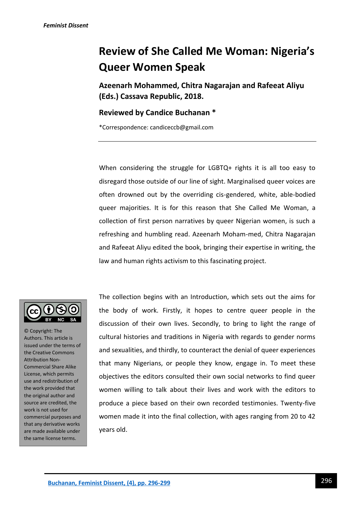## **Review of She Called Me Woman: Nigeria's Queer Women Speak**

**Azeenarh Mohammed, Chitra Nagarajan and Rafeeat Aliyu (Eds.) Cassava Republic, 2018.**

## **Reviewed by Candice Buchanan \***

\*Correspondence: candiceccb@gmail.com

When considering the struggle for LGBTQ+ rights it is all too easy to disregard those outside of our line of sight. Marginalised queer voices are often drowned out by the overriding cis-gendered, white, able-bodied queer majorities. It is for this reason that She Called Me Woman, a collection of first person narratives by queer Nigerian women, is such a refreshing and humbling read. Azeenarh Moham-med, Chitra Nagarajan and Rafeeat Aliyu edited the book, bringing their expertise in writing, the law and human rights activism to this fascinating project.



© Copyright: The Authors. This article is issued under the terms of the Creative Commons Attribution Non-Commercial Share Alike License, which permits use and redistribution of the work provided that the original author and source are credited, the work is not used for commercial purposes and that any derivative works are made available under the same license terms.

The collection begins with an Introduction, which sets out the aims for the body of work. Firstly, it hopes to centre queer people in the discussion of their own lives. Secondly, to bring to light the range of cultural histories and traditions in Nigeria with regards to gender norms and sexualities, and thirdly, to counteract the denial of queer experiences that many Nigerians, or people they know, engage in. To meet these objectives the editors consulted their own social networks to find queer women willing to talk about their lives and work with the editors to produce a piece based on their own recorded testimonies. Twenty-five women made it into the final collection, with ages ranging from 20 to 42 years old.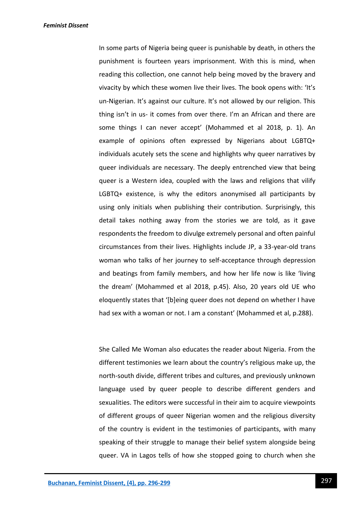*Feminist Dissent*

In some parts of Nigeria being queer is punishable by death, in others the punishment is fourteen years imprisonment. With this is mind, when reading this collection, one cannot help being moved by the bravery and vivacity by which these women live their lives. The book opens with: 'It's un-Nigerian. It's against our culture. It's not allowed by our religion. This thing isn't in us- it comes from over there. I'm an African and there are some things I can never accept' (Mohammed et al 2018, p. 1). An example of opinions often expressed by Nigerians about LGBTQ+ individuals acutely sets the scene and highlights why queer narratives by queer individuals are necessary. The deeply entrenched view that being queer is a Western idea, coupled with the laws and religions that vilify LGBTQ+ existence, is why the editors anonymised all participants by using only initials when publishing their contribution. Surprisingly, this detail takes nothing away from the stories we are told, as it gave respondents the freedom to divulge extremely personal and often painful circumstances from their lives. Highlights include JP, a 33-year-old trans woman who talks of her journey to self-acceptance through depression and beatings from family members, and how her life now is like 'living the dream' (Mohammed et al 2018, p.45). Also, 20 years old UE who eloquently states that '[b]eing queer does not depend on whether I have had sex with a woman or not. I am a constant' (Mohammed et al, p.288).

She Called Me Woman also educates the reader about Nigeria. From the different testimonies we learn about the country's religious make up, the north-south divide, different tribes and cultures, and previously unknown language used by queer people to describe different genders and sexualities. The editors were successful in their aim to acquire viewpoints of different groups of queer Nigerian women and the religious diversity of the country is evident in the testimonies of participants, with many speaking of their struggle to manage their belief system alongside being queer. VA in Lagos tells of how she stopped going to church when she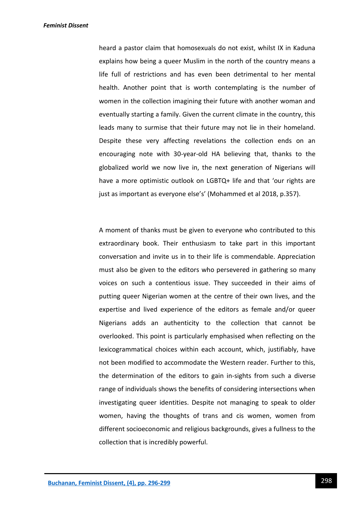*Feminist Dissent*

heard a pastor claim that homosexuals do not exist, whilst IX in Kaduna explains how being a queer Muslim in the north of the country means a life full of restrictions and has even been detrimental to her mental health. Another point that is worth contemplating is the number of women in the collection imagining their future with another woman and eventually starting a family. Given the current climate in the country, this leads many to surmise that their future may not lie in their homeland. Despite these very affecting revelations the collection ends on an encouraging note with 30-year-old HA believing that, thanks to the globalized world we now live in, the next generation of Nigerians will have a more optimistic outlook on LGBTQ+ life and that 'our rights are just as important as everyone else's' (Mohammed et al 2018, p.357).

A moment of thanks must be given to everyone who contributed to this extraordinary book. Their enthusiasm to take part in this important conversation and invite us in to their life is commendable. Appreciation must also be given to the editors who persevered in gathering so many voices on such a contentious issue. They succeeded in their aims of putting queer Nigerian women at the centre of their own lives, and the expertise and lived experience of the editors as female and/or queer Nigerians adds an authenticity to the collection that cannot be overlooked. This point is particularly emphasised when reflecting on the lexicogrammatical choices within each account, which, justifiably, have not been modified to accommodate the Western reader. Further to this, the determination of the editors to gain in-sights from such a diverse range of individuals shows the benefits of considering intersections when investigating queer identities. Despite not managing to speak to older women, having the thoughts of trans and cis women, women from different socioeconomic and religious backgrounds, gives a fullness to the collection that is incredibly powerful.